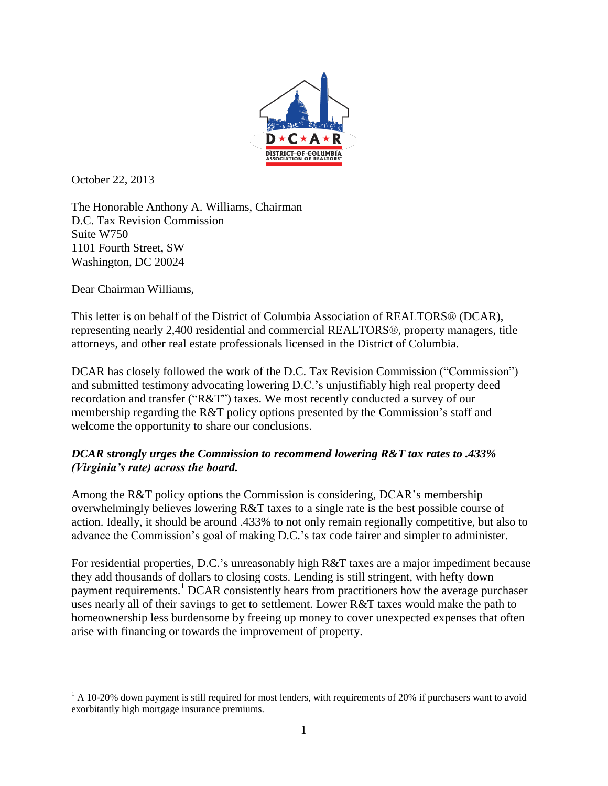

October 22, 2013

The Honorable Anthony A. Williams, Chairman D.C. Tax Revision Commission Suite W750 1101 Fourth Street, SW Washington, DC 20024

Dear Chairman Williams,

This letter is on behalf of the District of Columbia Association of REALTORS® (DCAR), representing nearly 2,400 residential and commercial REALTORS®, property managers, title attorneys, and other real estate professionals licensed in the District of Columbia.

DCAR has closely followed the work of the D.C. Tax Revision Commission ("Commission") and submitted testimony advocating lowering D.C.'s unjustifiably high real property deed recordation and transfer ("R&T") taxes. We most recently conducted a survey of our membership regarding the R&T policy options presented by the Commission's staff and welcome the opportunity to share our conclusions.

## *DCAR strongly urges the Commission to recommend lowering R&T tax rates to .433% (Virginia's rate) across the board.*

Among the R&T policy options the Commission is considering, DCAR's membership overwhelmingly believes lowering R&T taxes to a single rate is the best possible course of action. Ideally, it should be around .433% to not only remain regionally competitive, but also to advance the Commission's goal of making D.C.'s tax code fairer and simpler to administer.

For residential properties, D.C.'s unreasonably high R&T taxes are a major impediment because they add thousands of dollars to closing costs. Lending is still stringent, with hefty down payment requirements. <sup>1</sup> DCAR consistently hears from practitioners how the average purchaser uses nearly all of their savings to get to settlement. Lower R&T taxes would make the path to homeownership less burdensome by freeing up money to cover unexpected expenses that often arise with financing or towards the improvement of property.

 $\overline{a}$  $1$  A 10-20% down payment is still required for most lenders, with requirements of 20% if purchasers want to avoid exorbitantly high mortgage insurance premiums.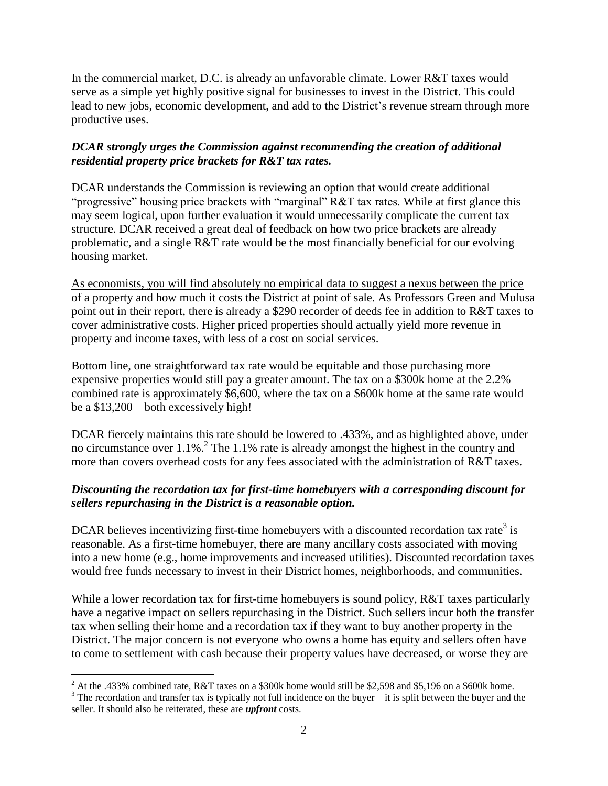In the commercial market, D.C. is already an unfavorable climate. Lower R&T taxes would serve as a simple yet highly positive signal for businesses to invest in the District. This could lead to new jobs, economic development, and add to the District's revenue stream through more productive uses.

## *DCAR strongly urges the Commission against recommending the creation of additional residential property price brackets for R&T tax rates.*

DCAR understands the Commission is reviewing an option that would create additional "progressive" housing price brackets with "marginal" R&T tax rates. While at first glance this may seem logical, upon further evaluation it would unnecessarily complicate the current tax structure. DCAR received a great deal of feedback on how two price brackets are already problematic, and a single R&T rate would be the most financially beneficial for our evolving housing market.

As economists, you will find absolutely no empirical data to suggest a nexus between the price of a property and how much it costs the District at point of sale. As Professors Green and Mulusa point out in their report, there is already a \$290 recorder of deeds fee in addition to R&T taxes to cover administrative costs. Higher priced properties should actually yield more revenue in property and income taxes, with less of a cost on social services.

Bottom line, one straightforward tax rate would be equitable and those purchasing more expensive properties would still pay a greater amount. The tax on a \$300k home at the 2.2% combined rate is approximately \$6,600, where the tax on a \$600k home at the same rate would be a \$13,200—both excessively high!

DCAR fiercely maintains this rate should be lowered to .433%, and as highlighted above, under no circumstance over  $1.1\%$ .<sup>2</sup> The 1.1% rate is already amongst the highest in the country and more than covers overhead costs for any fees associated with the administration of R&T taxes.

# *Discounting the recordation tax for first-time homebuyers with a corresponding discount for sellers repurchasing in the District is a reasonable option.*

DCAR believes incentivizing first-time homebuyers with a discounted recordation tax rate<sup>3</sup> is reasonable. As a first-time homebuyer, there are many ancillary costs associated with moving into a new home (e.g., home improvements and increased utilities). Discounted recordation taxes would free funds necessary to invest in their District homes, neighborhoods, and communities.

While a lower recordation tax for first-time homebuyers is sound policy, R&T taxes particularly have a negative impact on sellers repurchasing in the District. Such sellers incur both the transfer tax when selling their home and a recordation tax if they want to buy another property in the District. The major concern is not everyone who owns a home has equity and sellers often have to come to settlement with cash because their property values have decreased, or worse they are

 $\overline{a}$ <sup>2</sup> At the .433% combined rate, R&T taxes on a \$300k home would still be \$2,598 and \$5,196 on a \$600k home.

<sup>&</sup>lt;sup>3</sup> The recordation and transfer tax is typically not full incidence on the buyer—it is split between the buyer and the seller. It should also be reiterated, these are *upfront* costs.